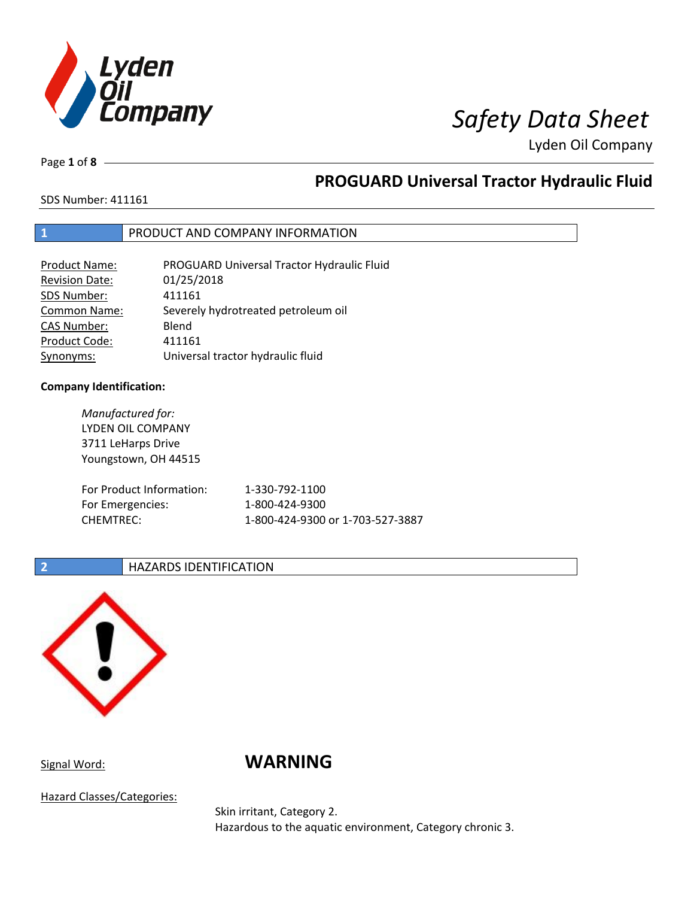

Lyden Oil Company

Page **1** of **8**

# **PROGUARD Universal Tractor Hydraulic Fluid**

SDS Number: 411161

## **1** PRODUCT AND COMPANY INFORMATION

| <b>Product Name:</b>  | PROGUARD Universal Tractor Hydraulic Fluid |
|-----------------------|--------------------------------------------|
| <b>Revision Date:</b> | 01/25/2018                                 |
| SDS Number:           | 411161                                     |
| <b>Common Name:</b>   | Severely hydrotreated petroleum oil        |
| CAS Number:           | Blend                                      |
| Product Code:         | 411161                                     |
| Synonyms:             | Universal tractor hydraulic fluid          |

### **Company Identification:**

| Manufactured for:<br>LYDEN OIL COMPANY<br>3711 LeHarps Drive<br>Youngstown, OH 44515 |                                  |
|--------------------------------------------------------------------------------------|----------------------------------|
| For Product Information:                                                             | 1-330-792-1100                   |
| For Emergencies:                                                                     | 1-800-424-9300                   |
| <b>CHEMTREC:</b>                                                                     | 1-800-424-9300 or 1-703-527-3887 |

## **2 HAZARDS IDENTIFICATION**



# Signal Word: **WARNING**

Hazard Classes/Categories:

Skin irritant, Category 2. Hazardous to the aquatic environment, Category chronic 3.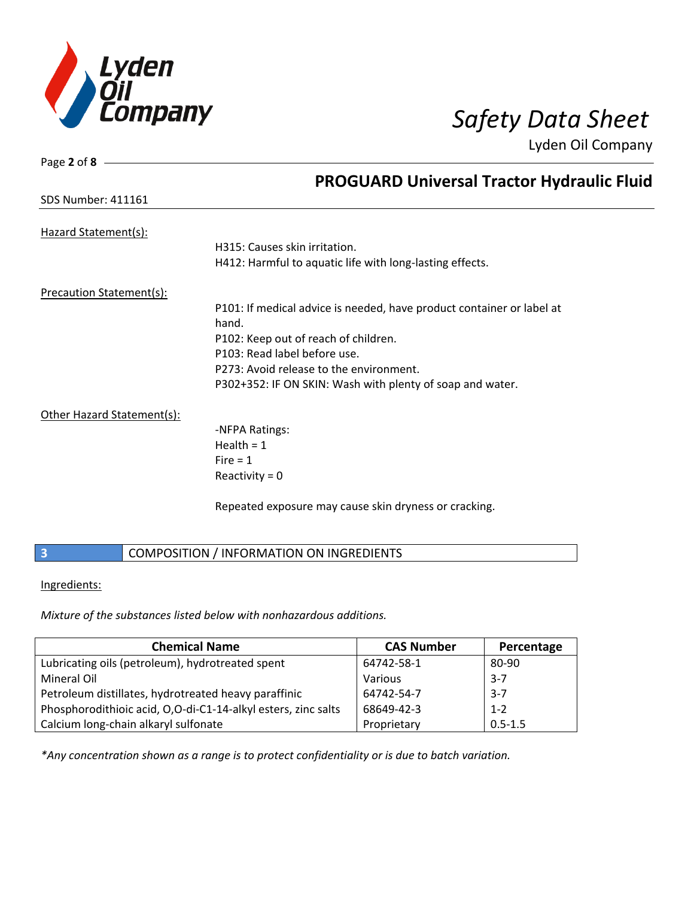

Page **2** of **8**

SDS Number: 411161

Lyden Oil Company

|  | <b>PROGUARD Universal Tractor Hydraulic Fluid</b> |  |
|--|---------------------------------------------------|--|
|  |                                                   |  |

| P101: If medical advice is needed, have product container or label at |
|-----------------------------------------------------------------------|
|                                                                       |
|                                                                       |
|                                                                       |
|                                                                       |
|                                                                       |
|                                                                       |
|                                                                       |
|                                                                       |
|                                                                       |
|                                                                       |

Repeated exposure may cause skin dryness or cracking.

# **3 COMPOSITION / INFORMATION ON INGREDIENTS**

## Ingredients:

*Mixture of the substances listed below with nonhazardous additions.*

| <b>Chemical Name</b>                                          | <b>CAS Number</b> | Percentage  |
|---------------------------------------------------------------|-------------------|-------------|
| Lubricating oils (petroleum), hydrotreated spent              | 64742-58-1        | 80-90       |
| Mineral Oil                                                   | Various           | $3 - 7$     |
| Petroleum distillates, hydrotreated heavy paraffinic          | 64742-54-7        | $3 - 7$     |
| Phosphorodithioic acid, O,O-di-C1-14-alkyl esters, zinc salts | 68649-42-3        | $1 - 2$     |
| Calcium long-chain alkaryl sulfonate                          | Proprietary       | $0.5 - 1.5$ |

*\*Any concentration shown as a range is to protect confidentiality or is due to batch variation.*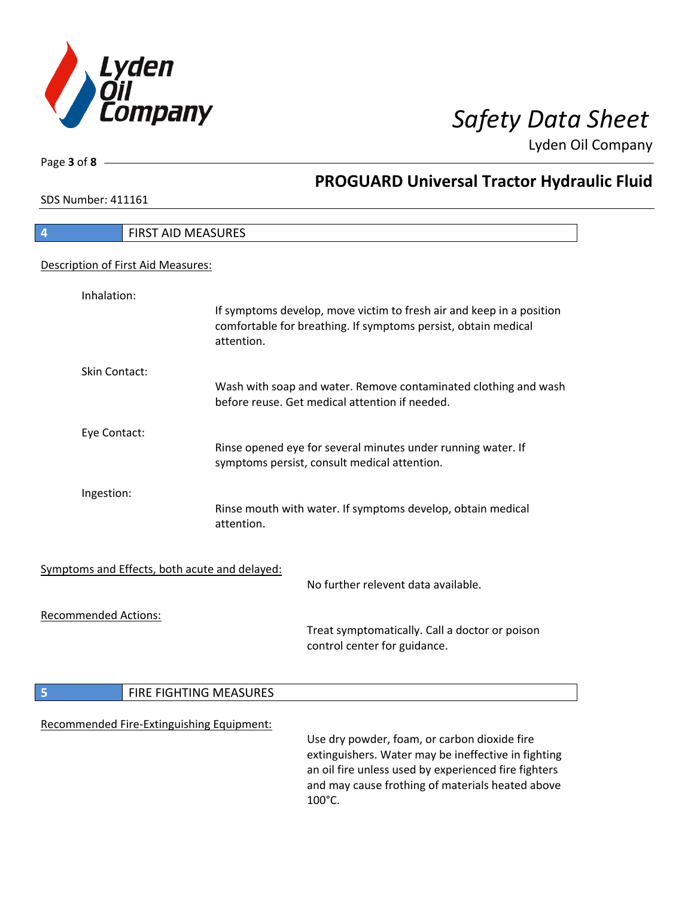

**PROGUARD Universal Tractor Hydraulic Fluid**

Lyden Oil Company

SDS Number: 411161

Page **3** of **8**

# **4** FIRST AID MEASURES Description of First Aid Measures: Inhalation: If symptoms develop, move victim to fresh air and keep in a position comfortable for breathing. If symptoms persist, obtain medical attention. Skin Contact: Wash with soap and water. Remove contaminated clothing and wash before reuse. Get medical attention if needed. Eye Contact: Rinse opened eye for several minutes under running water. If symptoms persist, consult medical attention. Ingestion: Rinse mouth with water. If symptoms develop, obtain medical attention. Symptoms and Effects, both acute and delayed: No further relevent data available. Recommended Actions: Treat symptomatically. Call a doctor or poison control center for guidance. **5 FIRE FIGHTING MEASURES** Recommended Fire-Extinguishing Equipment: Use dry powder, foam, or carbon dioxide fire extinguishers. Water may be ineffective in fighting an oil fire unless used by experienced fire fighters and may cause frothing of materials heated above 100°C.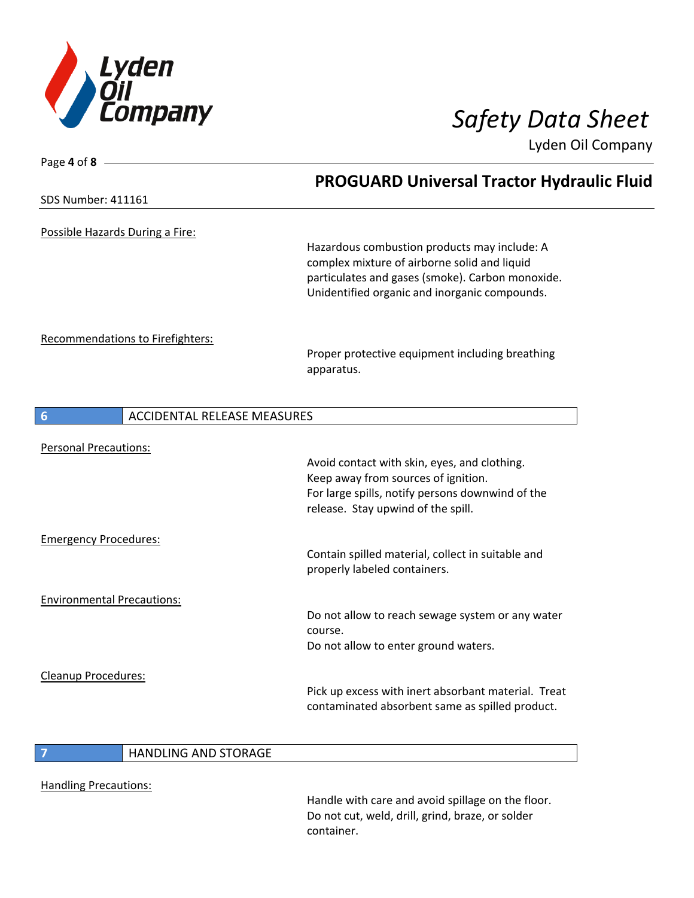

Page **4** of **8**

Lyden Oil Company

|                                         | <b>PROGUARD Universal Tractor Hydraulic Fluid</b>                                                                                                                                                 |
|-----------------------------------------|---------------------------------------------------------------------------------------------------------------------------------------------------------------------------------------------------|
| SDS Number: 411161                      |                                                                                                                                                                                                   |
| Possible Hazards During a Fire:         |                                                                                                                                                                                                   |
|                                         | Hazardous combustion products may include: A<br>complex mixture of airborne solid and liquid<br>particulates and gases (smoke). Carbon monoxide.<br>Unidentified organic and inorganic compounds. |
| <b>Recommendations to Firefighters:</b> |                                                                                                                                                                                                   |
|                                         | Proper protective equipment including breathing<br>apparatus.                                                                                                                                     |
| 6                                       | <b>ACCIDENTAL RELEASE MEASURES</b>                                                                                                                                                                |
| <b>Personal Precautions:</b>            |                                                                                                                                                                                                   |
|                                         | Avoid contact with skin, eyes, and clothing.<br>Keep away from sources of ignition.<br>For large spills, notify persons downwind of the<br>release. Stay upwind of the spill.                     |
| <b>Emergency Procedures:</b>            |                                                                                                                                                                                                   |
|                                         | Contain spilled material, collect in suitable and<br>properly labeled containers.                                                                                                                 |
| <b>Environmental Precautions:</b>       |                                                                                                                                                                                                   |
|                                         | Do not allow to reach sewage system or any water<br>course.<br>Do not allow to enter ground waters.                                                                                               |
| Cleanup Procedures:                     |                                                                                                                                                                                                   |
|                                         | Pick up excess with inert absorbant material. Treat<br>contaminated absorbent same as spilled product.                                                                                            |

# **7 HANDLING AND STORAGE**

Handling Precautions:

Handle with care and avoid spillage on the floor. Do not cut, weld, drill, grind, braze, or solder container.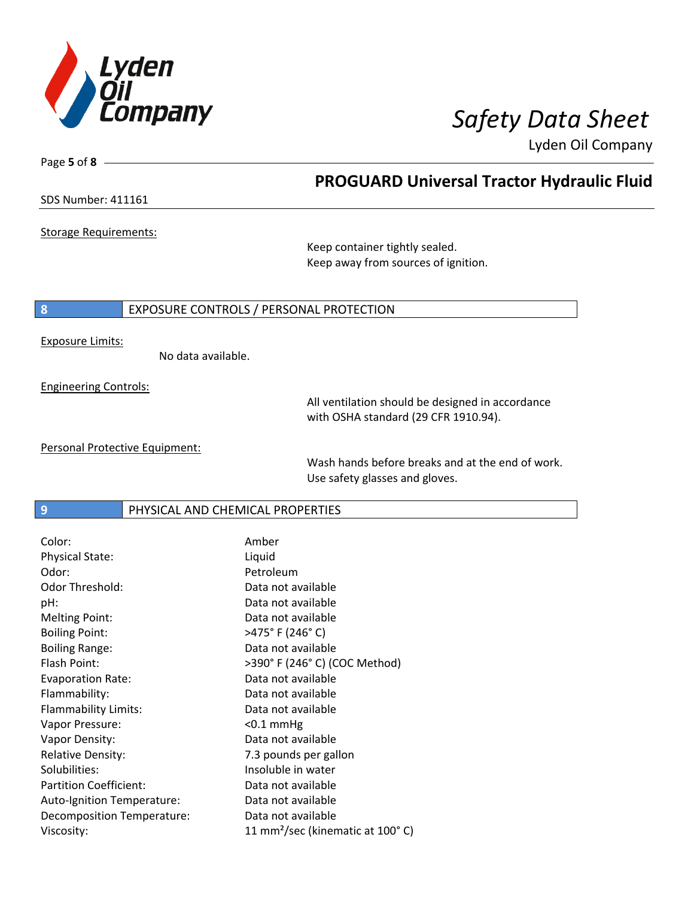

**PROGUARD Universal Tractor Hydraulic Fluid**

Lyden Oil Company

SDS Number: 411161

Page **5** of **8**

Storage Requirements:

Keep container tightly sealed. Keep away from sources of ignition.

### **8** EXPOSURE CONTROLS / PERSONAL PROTECTION

Exposure Limits:

No data available.

Engineering Controls:

All ventilation should be designed in accordance with OSHA standard (29 CFR 1910.94).

Personal Protective Equipment:

Wash hands before breaks and at the end of work. Use safety glasses and gloves.

**9 PHYSICAL AND CHEMICAL PROPERTIES** 

| Color:                        | Amber                                        |
|-------------------------------|----------------------------------------------|
| <b>Physical State:</b>        | Liquid                                       |
| Odor:                         | Petroleum                                    |
| Odor Threshold:               | Data not available                           |
| pH:                           | Data not available                           |
| <b>Melting Point:</b>         | Data not available                           |
| <b>Boiling Point:</b>         | >475°F (246°C)                               |
| <b>Boiling Range:</b>         | Data not available                           |
| Flash Point:                  | >390° F (246° C) (COC Method)                |
| <b>Evaporation Rate:</b>      | Data not available                           |
| Flammability:                 | Data not available                           |
| Flammability Limits:          | Data not available                           |
| Vapor Pressure:               | $<$ 0.1 mmHg                                 |
| Vapor Density:                | Data not available                           |
| <b>Relative Density:</b>      | 7.3 pounds per gallon                        |
| Solubilities:                 | Insoluble in water                           |
| <b>Partition Coefficient:</b> | Data not available                           |
| Auto-Ignition Temperature:    | Data not available                           |
| Decomposition Temperature:    | Data not available                           |
| Viscosity:                    | 11 mm <sup>2</sup> /sec (kinematic at 100°C) |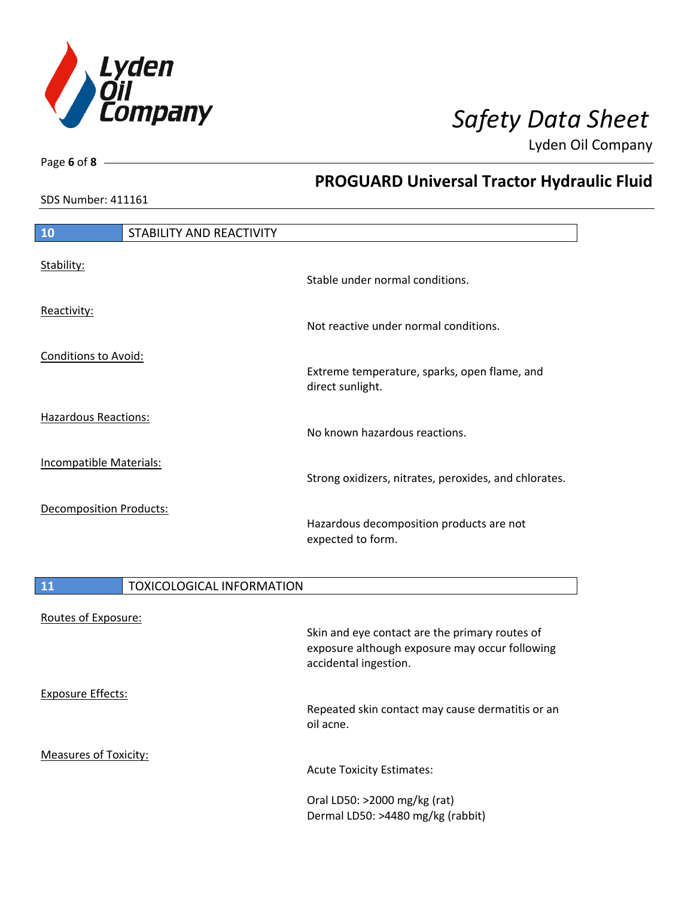

**PROGUARD Universal Tractor Hydraulic Fluid**

Lyden Oil Company

SDS Number: 411161

Page **6** of **8**

# **10** STABILITY AND REACTIVITY Stability: Stable under normal conditions. Reactivity: Not reactive under normal conditions. Conditions to Avoid: Extreme temperature, sparks, open flame, and direct sunlight. Hazardous Reactions: No known hazardous reactions. Incompatible Materials: Strong oxidizers, nitrates, peroxides, and chlorates. Decomposition Products: Hazardous decomposition products are not expected to form.

| 11                           | <b>TOXICOLOGICAL INFORMATION</b>                                                                                          |  |
|------------------------------|---------------------------------------------------------------------------------------------------------------------------|--|
| Routes of Exposure:          | Skin and eye contact are the primary routes of<br>exposure although exposure may occur following<br>accidental ingestion. |  |
| <b>Exposure Effects:</b>     | Repeated skin contact may cause dermatitis or an<br>oil acne.                                                             |  |
| <b>Measures of Toxicity:</b> | <b>Acute Toxicity Estimates:</b>                                                                                          |  |
|                              | Oral LD50: >2000 mg/kg (rat)<br>Dermal LD50: >4480 mg/kg (rabbit)                                                         |  |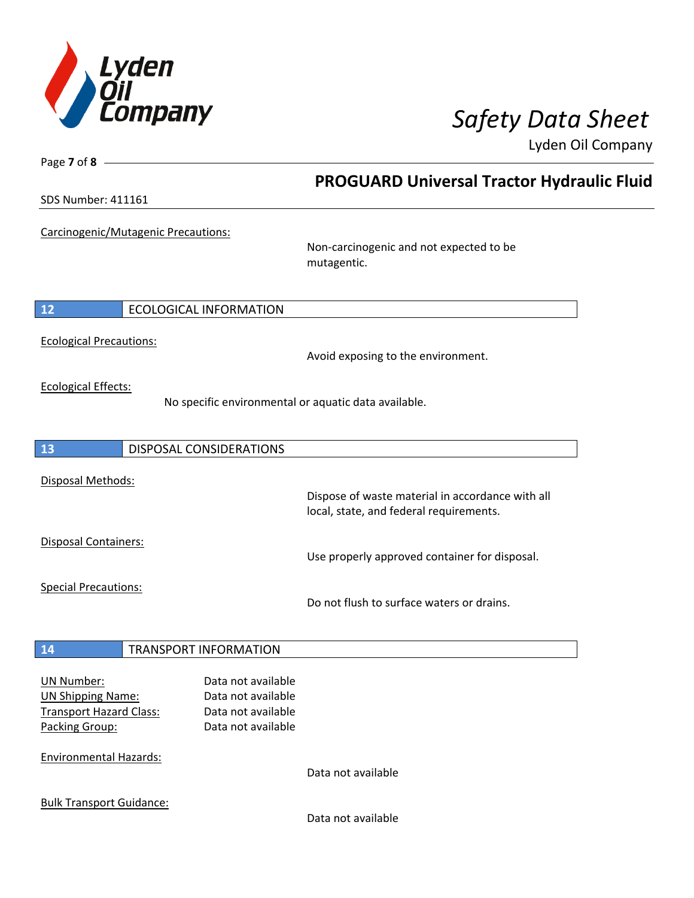

Lyden Oil Company

| Page 7 of 8 -                       |                                |                                                                                             |  |
|-------------------------------------|--------------------------------|---------------------------------------------------------------------------------------------|--|
|                                     |                                | <b>PROGUARD Universal Tractor Hydraulic Fluid</b>                                           |  |
| <b>SDS Number: 411161</b>           |                                |                                                                                             |  |
| Carcinogenic/Mutagenic Precautions: |                                | Non-carcinogenic and not expected to be                                                     |  |
|                                     |                                | mutagentic.                                                                                 |  |
| 12                                  | <b>ECOLOGICAL INFORMATION</b>  |                                                                                             |  |
| <b>Ecological Precautions:</b>      |                                | Avoid exposing to the environment.                                                          |  |
| <b>Ecological Effects:</b>          |                                |                                                                                             |  |
|                                     |                                | No specific environmental or aquatic data available.                                        |  |
| 13                                  | <b>DISPOSAL CONSIDERATIONS</b> |                                                                                             |  |
| Disposal Methods:                   |                                |                                                                                             |  |
|                                     |                                | Dispose of waste material in accordance with all<br>local, state, and federal requirements. |  |
| Disposal Containers:                |                                |                                                                                             |  |
|                                     |                                | Use properly approved container for disposal.                                               |  |
| <b>Special Precautions:</b>         |                                | Do not flush to surface waters or drains.                                                   |  |
| 14                                  | <b>TRANSPORT INFORMATION</b>   |                                                                                             |  |
| <b>UN Number:</b>                   | Data not available             |                                                                                             |  |
| <b>UN Shipping Name:</b>            | Data not available             |                                                                                             |  |
| <b>Transport Hazard Class:</b>      | Data not available             |                                                                                             |  |
| Packing Group:                      | Data not available             |                                                                                             |  |
| <b>Environmental Hazards:</b>       |                                | Data not available                                                                          |  |
| <b>Bulk Transport Guidance:</b>     |                                |                                                                                             |  |
|                                     |                                | Data not available                                                                          |  |